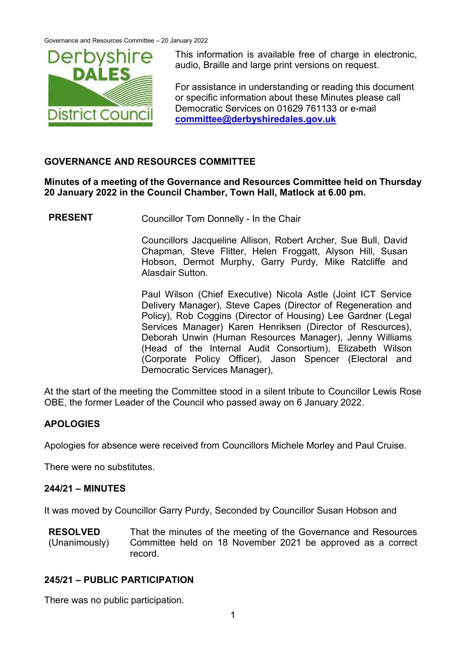

This information is available free of charge in electronic, audio, Braille and large print versions on request.

For assistance in understanding or reading this document or specific information about these Minutes please call Democratic Services on 01629 761133 or e-mail **[committee@derbyshiredales.gov.uk](mailto:committee@derbyshiredales.gov.uk)**

## **GOVERNANCE AND RESOURCES COMMITTEE**

**Minutes of a meeting of the Governance and Resources Committee held on Thursday 20 January 2022 in the Council Chamber, Town Hall, Matlock at 6.00 pm.**

**PRESENT** Councillor Tom Donnelly - In the Chair

Councillors Jacqueline Allison, Robert Archer, Sue Bull, David Chapman, Steve Flitter, Helen Froggatt, Alyson Hill, Susan Hobson, Dermot Murphy, Garry Purdy, Mike Ratcliffe and Alasdair Sutton.

Paul Wilson (Chief Executive) Nicola Astle (Joint ICT Service Delivery Manager), Steve Capes (Director of Regeneration and Policy), Rob Coggins (Director of Housing) Lee Gardner (Legal Services Manager) Karen Henriksen (Director of Resources), Deborah Unwin (Human Resources Manager), Jenny Williams (Head of the Internal Audit Consortium), Elizabeth Wilson (Corporate Policy Officer), Jason Spencer (Electoral and Democratic Services Manager),

At the start of the meeting the Committee stood in a silent tribute to Councillor Lewis Rose OBE, the former Leader of the Council who passed away on 6 January 2022.

# **APOLOGIES**

Apologies for absence were received from Councillors Michele Morley and Paul Cruise.

There were no substitutes.

## **244/21 – MINUTES**

It was moved by Councillor Garry Purdy, Seconded by Councillor Susan Hobson and

**RESOLVED** (Unanimously) That the minutes of the meeting of the Governance and Resources Committee held on 18 November 2021 be approved as a correct record.

## **245/21 – PUBLIC PARTICIPATION**

There was no public participation.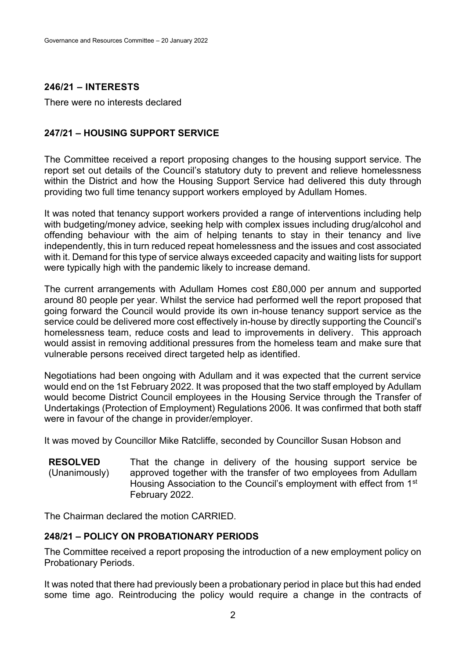# **246/21 – INTERESTS**

There were no interests declared

# **247/21 – HOUSING SUPPORT SERVICE**

The Committee received a report proposing changes to the housing support service. The report set out details of the Council's statutory duty to prevent and relieve homelessness within the District and how the Housing Support Service had delivered this duty through providing two full time tenancy support workers employed by Adullam Homes.

It was noted that tenancy support workers provided a range of interventions including help with budgeting/money advice, seeking help with complex issues including drug/alcohol and offending behaviour with the aim of helping tenants to stay in their tenancy and live independently, this in turn reduced repeat homelessness and the issues and cost associated with it. Demand for this type of service always exceeded capacity and waiting lists for support were typically high with the pandemic likely to increase demand.

The current arrangements with Adullam Homes cost £80,000 per annum and supported around 80 people per year. Whilst the service had performed well the report proposed that going forward the Council would provide its own in-house tenancy support service as the service could be delivered more cost effectively in-house by directly supporting the Council's homelessness team, reduce costs and lead to improvements in delivery. This approach would assist in removing additional pressures from the homeless team and make sure that vulnerable persons received direct targeted help as identified.

Negotiations had been ongoing with Adullam and it was expected that the current service would end on the 1st February 2022. It was proposed that the two staff employed by Adullam would become District Council employees in the Housing Service through the Transfer of Undertakings (Protection of Employment) Regulations 2006. It was confirmed that both staff were in favour of the change in provider/employer.

It was moved by Councillor Mike Ratcliffe, seconded by Councillor Susan Hobson and

**RESOLVED** (Unanimously) That the change in delivery of the housing support service be approved together with the transfer of two employees from Adullam Housing Association to the Council's employment with effect from 1<sup>st</sup> February 2022.

The Chairman declared the motion CARRIED.

## **248/21 – POLICY ON PROBATIONARY PERIODS**

The Committee received a report proposing the introduction of a new employment policy on Probationary Periods.

It was noted that there had previously been a probationary period in place but this had ended some time ago. Reintroducing the policy would require a change in the contracts of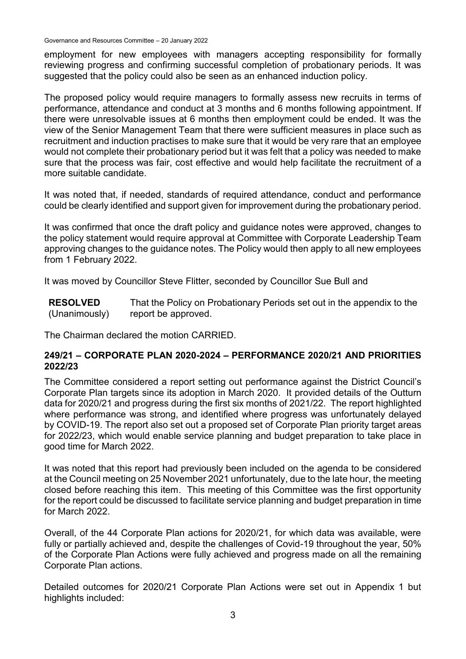Governance and Resources Committee – 20 January 2022

employment for new employees with managers accepting responsibility for formally reviewing progress and confirming successful completion of probationary periods. It was suggested that the policy could also be seen as an enhanced induction policy.

The proposed policy would require managers to formally assess new recruits in terms of performance, attendance and conduct at 3 months and 6 months following appointment. If there were unresolvable issues at 6 months then employment could be ended. It was the view of the Senior Management Team that there were sufficient measures in place such as recruitment and induction practises to make sure that it would be very rare that an employee would not complete their probationary period but it was felt that a policy was needed to make sure that the process was fair, cost effective and would help facilitate the recruitment of a more suitable candidate.

It was noted that, if needed, standards of required attendance, conduct and performance could be clearly identified and support given for improvement during the probationary period.

It was confirmed that once the draft policy and guidance notes were approved, changes to the policy statement would require approval at Committee with Corporate Leadership Team approving changes to the guidance notes. The Policy would then apply to all new employees from 1 February 2022.

It was moved by Councillor Steve Flitter, seconded by Councillor Sue Bull and

**RESOLVED** (Unanimously) That the Policy on Probationary Periods set out in the appendix to the report be approved.

The Chairman declared the motion CARRIED.

## **249/21 – CORPORATE PLAN 2020-2024 – PERFORMANCE 2020/21 AND PRIORITIES 2022/23**

The Committee considered a report setting out performance against the District Council's Corporate Plan targets since its adoption in March 2020. It provided details of the Outturn data for 2020/21 and progress during the first six months of 2021/22. The report highlighted where performance was strong, and identified where progress was unfortunately delayed by COVID-19. The report also set out a proposed set of Corporate Plan priority target areas for 2022/23, which would enable service planning and budget preparation to take place in good time for March 2022.

It was noted that this report had previously been included on the agenda to be considered at the Council meeting on 25 November 2021 unfortunately, due to the late hour, the meeting closed before reaching this item. This meeting of this Committee was the first opportunity for the report could be discussed to facilitate service planning and budget preparation in time for March 2022.

Overall, of the 44 Corporate Plan actions for 2020/21, for which data was available, were fully or partially achieved and, despite the challenges of Covid-19 throughout the year, 50% of the Corporate Plan Actions were fully achieved and progress made on all the remaining Corporate Plan actions.

Detailed outcomes for 2020/21 Corporate Plan Actions were set out in Appendix 1 but highlights included: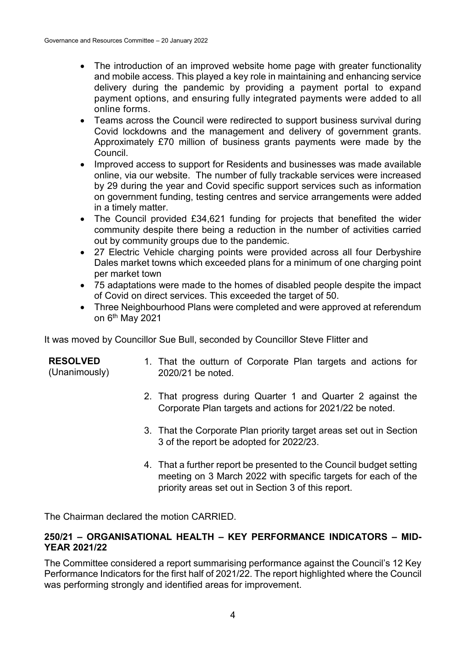- The introduction of an improved website home page with greater functionality and mobile access. This played a key role in maintaining and enhancing service delivery during the pandemic by providing a payment portal to expand payment options, and ensuring fully integrated payments were added to all online forms.
- Teams across the Council were redirected to support business survival during Covid lockdowns and the management and delivery of government grants. Approximately £70 million of business grants payments were made by the Council.
- Improved access to support for Residents and businesses was made available online, via our website. The number of fully trackable services were increased by 29 during the year and Covid specific support services such as information on government funding, testing centres and service arrangements were added in a timely matter.
- The Council provided £34,621 funding for projects that benefited the wider community despite there being a reduction in the number of activities carried out by community groups due to the pandemic.
- 27 Electric Vehicle charging points were provided across all four Derbyshire Dales market towns which exceeded plans for a minimum of one charging point per market town
- 75 adaptations were made to the homes of disabled people despite the impact of Covid on direct services. This exceeded the target of 50.
- Three Neighbourhood Plans were completed and were approved at referendum on 6th May 2021

It was moved by Councillor Sue Bull, seconded by Councillor Steve Flitter and

## **RESOLVED**

(Unanimously)

- 1. That the outturn of Corporate Plan targets and actions for 2020/21 be noted.
- 2. That progress during Quarter 1 and Quarter 2 against the Corporate Plan targets and actions for 2021/22 be noted.
- 3. That the Corporate Plan priority target areas set out in Section 3 of the report be adopted for 2022/23.
- 4. That a further report be presented to the Council budget setting meeting on 3 March 2022 with specific targets for each of the priority areas set out in Section 3 of this report.

The Chairman declared the motion CARRIED.

## **250/21 – ORGANISATIONAL HEALTH – KEY PERFORMANCE INDICATORS – MID-YEAR 2021/22**

The Committee considered a report summarising performance against the Council's 12 Key Performance Indicators for the first half of 2021/22. The report highlighted where the Council was performing strongly and identified areas for improvement.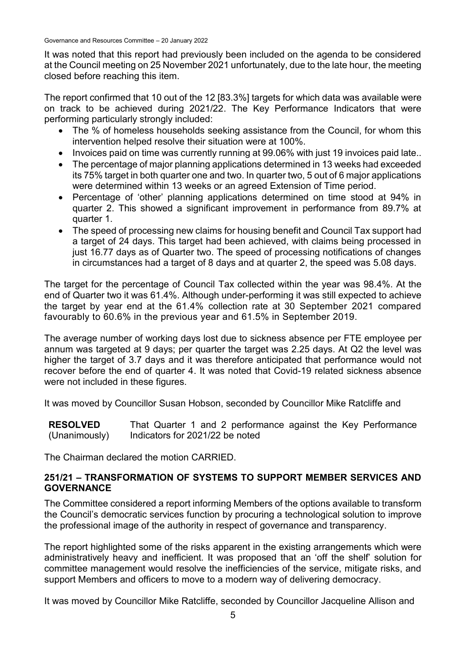Governance and Resources Committee – 20 January 2022

It was noted that this report had previously been included on the agenda to be considered at the Council meeting on 25 November 2021 unfortunately, due to the late hour, the meeting closed before reaching this item.

The report confirmed that 10 out of the 12 [83.3%] targets for which data was available were on track to be achieved during 2021/22. The Key Performance Indicators that were performing particularly strongly included:

- The % of homeless households seeking assistance from the Council, for whom this intervention helped resolve their situation were at 100%.
- Invoices paid on time was currently running at 99.06% with just 19 invoices paid late..
- The percentage of major planning applications determined in 13 weeks had exceeded its 75% target in both quarter one and two. In quarter two, 5 out of 6 major applications were determined within 13 weeks or an agreed Extension of Time period.
- Percentage of 'other' planning applications determined on time stood at 94% in quarter 2. This showed a significant improvement in performance from 89.7% at quarter 1.
- The speed of processing new claims for housing benefit and Council Tax support had a target of 24 days. This target had been achieved, with claims being processed in just 16.77 days as of Quarter two. The speed of processing notifications of changes in circumstances had a target of 8 days and at quarter 2, the speed was 5.08 days.

The target for the percentage of Council Tax collected within the year was 98.4%. At the end of Quarter two it was 61.4%. Although under-performing it was still expected to achieve the target by year end at the 61.4% collection rate at 30 September 2021 compared favourably to 60.6% in the previous year and 61.5% in September 2019.

The average number of working days lost due to sickness absence per FTE employee per annum was targeted at 9 days; per quarter the target was 2.25 days. At Q2 the level was higher the target of 3.7 days and it was therefore anticipated that performance would not recover before the end of quarter 4. It was noted that Covid-19 related sickness absence were not included in these figures.

It was moved by Councillor Susan Hobson, seconded by Councillor Mike Ratcliffe and

**RESOLVED** (Unanimously) That Quarter 1 and 2 performance against the Key Performance Indicators for 2021/22 be noted

The Chairman declared the motion CARRIED.

## **251/21 – TRANSFORMATION OF SYSTEMS TO SUPPORT MEMBER SERVICES AND GOVERNANCE**

The Committee considered a report informing Members of the options available to transform the Council's democratic services function by procuring a technological solution to improve the professional image of the authority in respect of governance and transparency.

The report highlighted some of the risks apparent in the existing arrangements which were administratively heavy and inefficient. It was proposed that an 'off the shelf' solution for committee management would resolve the inefficiencies of the service, mitigate risks, and support Members and officers to move to a modern way of delivering democracy.

It was moved by Councillor Mike Ratcliffe, seconded by Councillor Jacqueline Allison and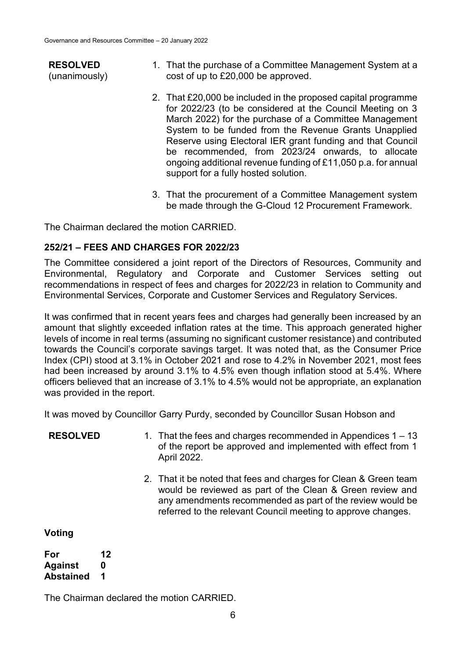#### **RESOLVED** (unanimously)

- 1. That the purchase of a Committee Management System at a cost of up to £20,000 be approved.
- 2. That £20,000 be included in the proposed capital programme for 2022/23 (to be considered at the Council Meeting on 3 March 2022) for the purchase of a Committee Management System to be funded from the Revenue Grants Unapplied Reserve using Electoral IER grant funding and that Council be recommended, from 2023/24 onwards, to allocate ongoing additional revenue funding of £11,050 p.a. for annual support for a fully hosted solution.
- 3. That the procurement of a Committee Management system be made through the G-Cloud 12 Procurement Framework.

The Chairman declared the motion CARRIED.

#### **252/21 – FEES AND CHARGES FOR 2022/23**

The Committee considered a joint report of the Directors of Resources, Community and Environmental, Regulatory and Corporate and Customer Services setting out recommendations in respect of fees and charges for 2022/23 in relation to Community and Environmental Services, Corporate and Customer Services and Regulatory Services.

It was confirmed that in recent years fees and charges had generally been increased by an amount that slightly exceeded inflation rates at the time. This approach generated higher levels of income in real terms (assuming no significant customer resistance) and contributed towards the Council's corporate savings target. It was noted that, as the Consumer Price Index (CPI) stood at 3.1% in October 2021 and rose to 4.2% in November 2021, most fees had been increased by around 3.1% to 4.5% even though inflation stood at 5.4%. Where officers believed that an increase of 3.1% to 4.5% would not be appropriate, an explanation was provided in the report.

It was moved by Councillor Garry Purdy, seconded by Councillor Susan Hobson and

- **RESOLVED** 1. That the fees and charges recommended in Appendices 1 13 of the report be approved and implemented with effect from 1 April 2022.
	- 2. That it be noted that fees and charges for Clean & Green team would be reviewed as part of the Clean & Green review and any amendments recommended as part of the review would be referred to the relevant Council meeting to approve changes.

**Voting**

**For 12 Against 0 Abstained 1**

The Chairman declared the motion CARRIED.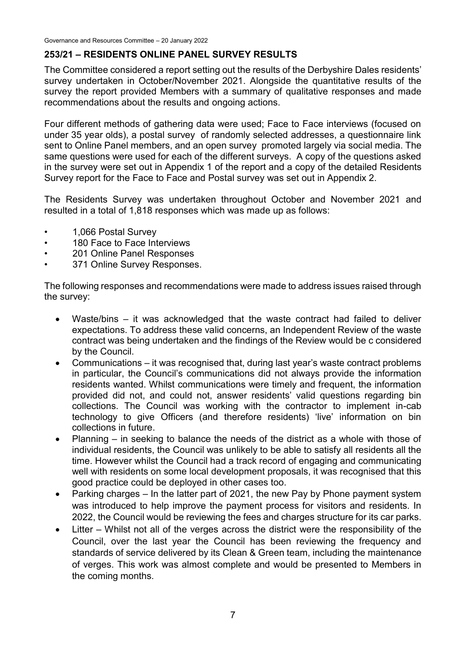## **253/21 – RESIDENTS ONLINE PANEL SURVEY RESULTS**

The Committee considered a report setting out the results of the Derbyshire Dales residents' survey undertaken in October/November 2021. Alongside the quantitative results of the survey the report provided Members with a summary of qualitative responses and made recommendations about the results and ongoing actions.

Four different methods of gathering data were used; Face to Face interviews (focused on under 35 year olds), a postal survey of randomly selected addresses, a questionnaire link sent to Online Panel members, and an open survey promoted largely via social media. The same questions were used for each of the different surveys. A copy of the questions asked in the survey were set out in Appendix 1 of the report and a copy of the detailed Residents Survey report for the Face to Face and Postal survey was set out in Appendix 2.

The Residents Survey was undertaken throughout October and November 2021 and resulted in a total of 1,818 responses which was made up as follows:

- 1,066 Postal Survey
- 180 Face to Face Interviews
- 201 Online Panel Responses
- 371 Online Survey Responses.

The following responses and recommendations were made to address issues raised through the survey:

- Waste/bins it was acknowledged that the waste contract had failed to deliver expectations. To address these valid concerns, an Independent Review of the waste contract was being undertaken and the findings of the Review would be c considered by the Council.
- Communications it was recognised that, during last year's waste contract problems in particular, the Council's communications did not always provide the information residents wanted. Whilst communications were timely and frequent, the information provided did not, and could not, answer residents' valid questions regarding bin collections. The Council was working with the contractor to implement in-cab technology to give Officers (and therefore residents) 'live' information on bin collections in future.
- Planning in seeking to balance the needs of the district as a whole with those of individual residents, the Council was unlikely to be able to satisfy all residents all the time. However whilst the Council had a track record of engaging and communicating well with residents on some local development proposals, it was recognised that this good practice could be deployed in other cases too.
- Parking charges In the latter part of 2021, the new Pay by Phone payment system was introduced to help improve the payment process for visitors and residents. In 2022, the Council would be reviewing the fees and charges structure for its car parks.
- Litter Whilst not all of the verges across the district were the responsibility of the Council, over the last year the Council has been reviewing the frequency and standards of service delivered by its Clean & Green team, including the maintenance of verges. This work was almost complete and would be presented to Members in the coming months.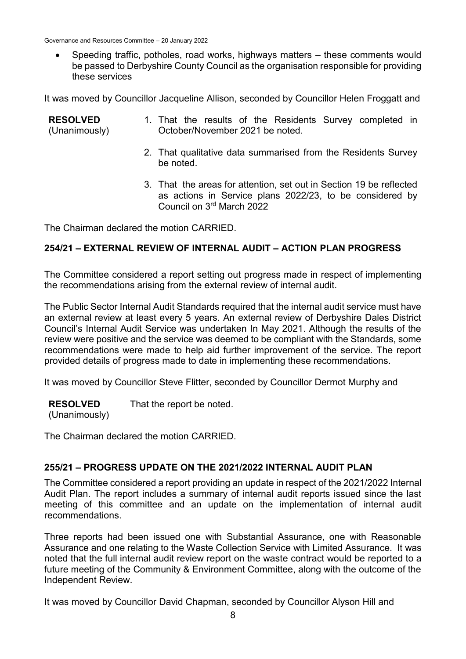Governance and Resources Committee – 20 January 2022

 Speeding traffic, potholes, road works, highways matters – these comments would be passed to Derbyshire County Council as the organisation responsible for providing these services

It was moved by Councillor Jacqueline Allison, seconded by Councillor Helen Froggatt and

| <b>RESOLVED</b><br>(Unanimously) | 1. That the results of the Residents Survey completed in<br>October/November 2021 be noted.                                     |
|----------------------------------|---------------------------------------------------------------------------------------------------------------------------------|
|                                  | 2. That qualitative data summarised from the Residents Survey<br>be noted.                                                      |
|                                  | 3. That the areas for attention, set out in Section 19 be reflected<br>as actions in Service plans 2022/23, to be considered by |

The Chairman declared the motion CARRIED.

## **254/21 – EXTERNAL REVIEW OF INTERNAL AUDIT – ACTION PLAN PROGRESS**

Council on 3rd March 2022

The Committee considered a report setting out progress made in respect of implementing the recommendations arising from the external review of internal audit.

The Public Sector Internal Audit Standards required that the internal audit service must have an external review at least every 5 years. An external review of Derbyshire Dales District Council's Internal Audit Service was undertaken In May 2021. Although the results of the review were positive and the service was deemed to be compliant with the Standards, some recommendations were made to help aid further improvement of the service. The report provided details of progress made to date in implementing these recommendations.

It was moved by Councillor Steve Flitter, seconded by Councillor Dermot Murphy and

**RESOLVED** That the report be noted.

(Unanimously)

The Chairman declared the motion CARRIED.

## **255/21 – PROGRESS UPDATE ON THE 2021/2022 INTERNAL AUDIT PLAN**

The Committee considered a report providing an update in respect of the 2021/2022 Internal Audit Plan. The report includes a summary of internal audit reports issued since the last meeting of this committee and an update on the implementation of internal audit recommendations.

Three reports had been issued one with Substantial Assurance, one with Reasonable Assurance and one relating to the Waste Collection Service with Limited Assurance. It was noted that the full internal audit review report on the waste contract would be reported to a future meeting of the Community & Environment Committee, along with the outcome of the Independent Review.

It was moved by Councillor David Chapman, seconded by Councillor Alyson Hill and